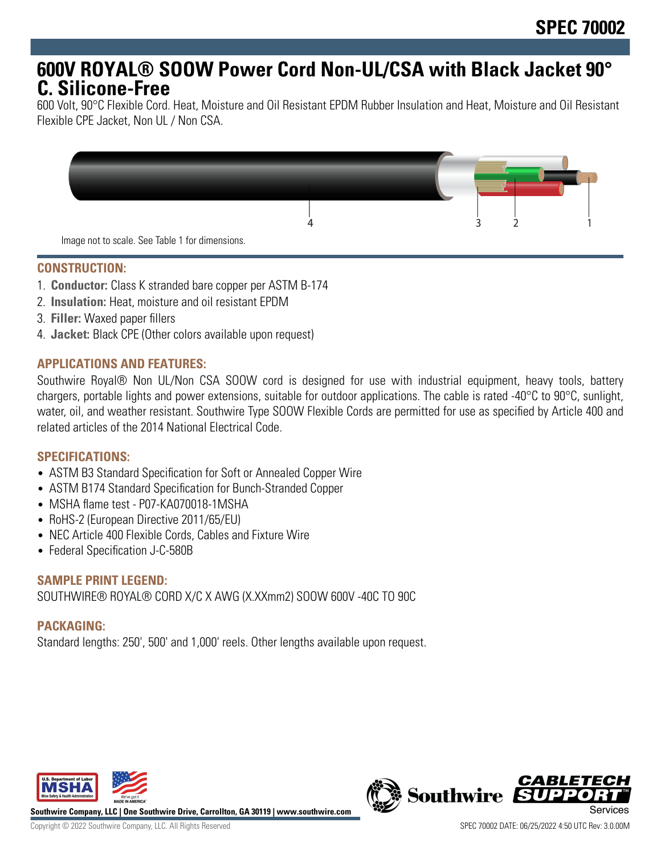# **600V ROYAL® SOOW Power Cord Non-UL/CSA with Black Jacket 90° C. Silicone-Free**

600 Volt, 90°C Flexible Cord. Heat, Moisture and Oil Resistant EPDM Rubber Insulation and Heat, Moisture and Oil Resistant Flexible CPE Jacket, Non UL / Non CSA.



#### **CONSTRUCTION:**

- 1. **Conductor:** Class K stranded bare copper per ASTM B-174
- 2. **Insulation:** Heat, moisture and oil resistant EPDM
- 3. **Filler:** Waxed paper fillers
- 4. **Jacket:** Black CPE (Other colors available upon request)

### **APPLICATIONS AND FEATURES:**

Southwire Royal® Non UL/Non CSA SOOW cord is designed for use with industrial equipment, heavy tools, battery chargers, portable lights and power extensions, suitable for outdoor applications. The cable is rated -40°C to 90°C, sunlight, water, oil, and weather resistant. Southwire Type SOOW Flexible Cords are permitted for use as specified by Article 400 and related articles of the 2014 National Electrical Code.

### **SPECIFICATIONS:**

- ASTM B3 Standard Specification for Soft or Annealed Copper Wire
- ASTM B174 Standard Specification for Bunch-Stranded Copper
- MSHA flame test P07-KA070018-1MSHA
- RoHS-2 (European Directive 2011/65/EU)
- NEC Article 400 Flexible Cords, Cables and Fixture Wire
- Federal Specification J-C-580B

### **SAMPLE PRINT LEGEND:**

SOUTHWIRE® ROYAL® CORD X/C X AWG (X.XXmm2) SOOW 600V -40C TO 90C

### **PACKAGING:**

Standard lengths: 250', 500' and 1,000' reels. Other lengths available upon request.



**Southwire Company, LLC | One Southwire Drive, Carrollton, GA 30119 | www.southwire.com**

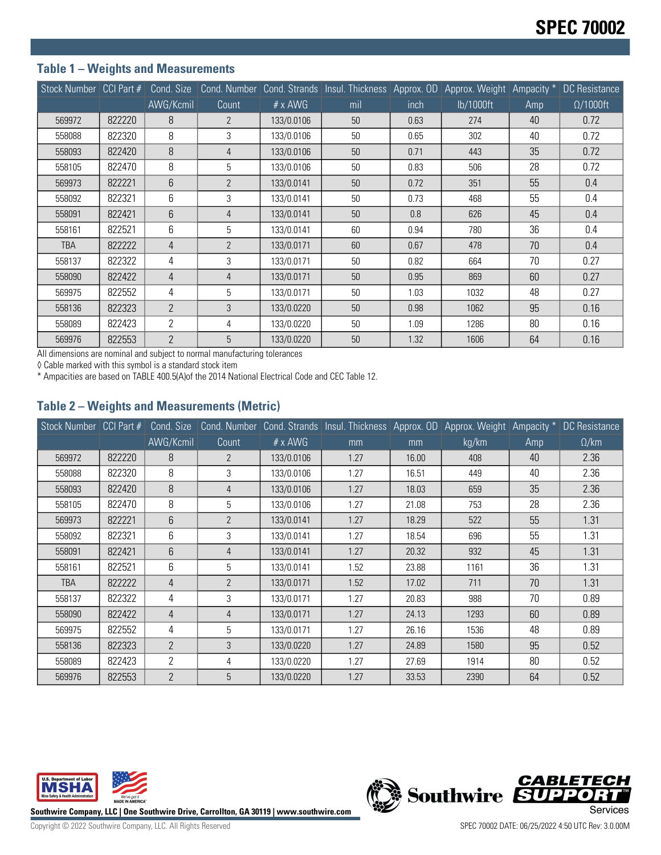## **Table 1 – Weights and Measurements**

|            |        |                |                |                | Stock Number CCI Part # Cond. Size Cond. Number Cond. Strands Insul. Thickness Approx. OD Approx. Weight Ampacity * DC Resistance |      |           |     |                  |
|------------|--------|----------------|----------------|----------------|-----------------------------------------------------------------------------------------------------------------------------------|------|-----------|-----|------------------|
|            |        | AWG/Kcmil      | Count          | $# \times$ AWG | mil                                                                                                                               | inch | lb/1000ft | Amp | $\Omega/1000$ ft |
| 569972     | 822220 | 8              | $\overline{2}$ | 133/0.0106     | 50                                                                                                                                | 0.63 | 274       | 40  | 0.72             |
| 558088     | 822320 | 8              | 3              | 133/0.0106     | 50                                                                                                                                | 0.65 | 302       | 40  | 0.72             |
| 558093     | 822420 | 8              | $\overline{4}$ | 133/0.0106     | 50                                                                                                                                | 0.71 | 443       | 35  | 0.72             |
| 558105     | 822470 | 8              | 5              | 133/0.0106     | 50                                                                                                                                | 0.83 | 506       | 28  | 0.72             |
| 569973     | 822221 | 6              | $\overline{2}$ | 133/0.0141     | 50                                                                                                                                | 0.72 | 351       | 55  | 0.4              |
| 558092     | 822321 | 6              | 3              | 133/0.0141     | 50                                                                                                                                | 0.73 | 468       | 55  | 0.4              |
| 558091     | 822421 | 6              | $\overline{4}$ | 133/0.0141     | 50                                                                                                                                | 0.8  | 626       | 45  | 0.4              |
| 558161     | 822521 | 6              | 5              | 133/0.0141     | 60                                                                                                                                | 0.94 | 780       | 36  | 0.4              |
| <b>TBA</b> | 822222 | 4              | $\overline{2}$ | 133/0.0171     | 60                                                                                                                                | 0.67 | 478       | 70  | 0.4              |
| 558137     | 822322 | 4              | 3              | 133/0.0171     | 50                                                                                                                                | 0.82 | 664       | 70  | 0.27             |
| 558090     | 822422 | 4              | $\overline{4}$ | 133/0.0171     | 50                                                                                                                                | 0.95 | 869       | 60  | 0.27             |
| 569975     | 822552 | 4              | 5              | 133/0.0171     | 50                                                                                                                                | 1.03 | 1032      | 48  | 0.27             |
| 558136     | 822323 | $\overline{2}$ | 3              | 133/0.0220     | 50                                                                                                                                | 0.98 | 1062      | 95  | 0.16             |
| 558089     | 822423 | $\overline{2}$ | 4              | 133/0.0220     | 50                                                                                                                                | 1.09 | 1286      | 80  | 0.16             |
| 569976     | 822553 | $\overline{2}$ | 5              | 133/0.0220     | 50                                                                                                                                | 1.32 | 1606      | 64  | 0.16             |

All dimensions are nominal and subject to normal manufacturing tolerances

◊ Cable marked with this symbol is a standard stock item

\* Ampacities are based on TABLE 400.5(A)of the 2014 National Electrical Code and CEC Table 12.

#### **Table 2 – Weights and Measurements (Metric)**

|            |        |                |                |                | Stock Number CCI Part # Cond. Size Cond. Number Cond. Strands Insul. Thickness Approx. OD Approx. Weight Ampacity * DC Resistance |       |       |     |              |
|------------|--------|----------------|----------------|----------------|-----------------------------------------------------------------------------------------------------------------------------------|-------|-------|-----|--------------|
|            |        | AWG/Kcmil      | Count          | $# \times$ AWG | mm                                                                                                                                | mm    | kg/km | Amp | $\Omega$ /km |
| 569972     | 822220 | 8              | 2              | 133/0.0106     | 1.27                                                                                                                              | 16.00 | 408   | 40  | 2.36         |
| 558088     | 822320 | 8              | 3              | 133/0.0106     | 1.27                                                                                                                              | 16.51 | 449   | 40  | 2.36         |
| 558093     | 822420 | 8              | $\overline{4}$ | 133/0.0106     | 1.27                                                                                                                              | 18.03 | 659   | 35  | 2.36         |
| 558105     | 822470 | 8              | 5              | 133/0.0106     | 1.27                                                                                                                              | 21.08 | 753   | 28  | 2.36         |
| 569973     | 822221 | 6              | $\mathfrak{p}$ | 133/0.0141     | 1.27                                                                                                                              | 18.29 | 522   | 55  | 1.31         |
| 558092     | 822321 | 6              | 3              | 133/0.0141     | 1.27                                                                                                                              | 18.54 | 696   | 55  | 1.31         |
| 558091     | 822421 | 6              | $\overline{4}$ | 133/0.0141     | 1.27                                                                                                                              | 20.32 | 932   | 45  | 1.31         |
| 558161     | 822521 | 6              | 5              | 133/0.0141     | 1.52                                                                                                                              | 23.88 | 1161  | 36  | 1.31         |
| <b>TBA</b> | 822222 | 4              | $\overline{2}$ | 133/0.0171     | 1.52                                                                                                                              | 17.02 | 711   | 70  | 1.31         |
| 558137     | 822322 | 4              | 3              | 133/0.0171     | 1.27                                                                                                                              | 20.83 | 988   | 70  | 0.89         |
| 558090     | 822422 | 4              | $\overline{4}$ | 133/0.0171     | 1.27                                                                                                                              | 24.13 | 1293  | 60  | 0.89         |
| 569975     | 822552 | 4              | 5              | 133/0.0171     | 1.27                                                                                                                              | 26.16 | 1536  | 48  | 0.89         |
| 558136     | 822323 | $\overline{2}$ | 3              | 133/0.0220     | 1.27                                                                                                                              | 24.89 | 1580  | 95  | 0.52         |
| 558089     | 822423 | 2              | 4              | 133/0.0220     | 1.27                                                                                                                              | 27.69 | 1914  | 80  | 0.52         |
| 569976     | 822553 | $\overline{2}$ | 5              | 133/0.0220     | 1.27                                                                                                                              | 33.53 | 2390  | 64  | 0.52         |